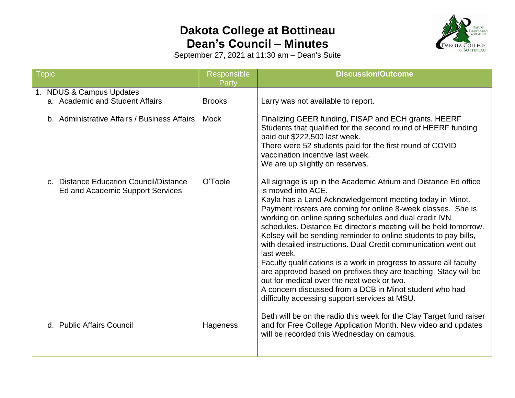## **Dakota College at Bottineau Dean's Council – Minutes**



September 27, 2021 at 11:30 am – Dean's Suite

| Topic                    |                                                                            | Responsible<br>Party | <b>Discussion/Outcome</b>                                                                                                                                                                                                                                                                                                                                                                                                                                                                                                                                                                                                                                                                                                                                                                              |  |  |  |  |
|--------------------------|----------------------------------------------------------------------------|----------------------|--------------------------------------------------------------------------------------------------------------------------------------------------------------------------------------------------------------------------------------------------------------------------------------------------------------------------------------------------------------------------------------------------------------------------------------------------------------------------------------------------------------------------------------------------------------------------------------------------------------------------------------------------------------------------------------------------------------------------------------------------------------------------------------------------------|--|--|--|--|
| 1. NDUS & Campus Updates |                                                                            |                      |                                                                                                                                                                                                                                                                                                                                                                                                                                                                                                                                                                                                                                                                                                                                                                                                        |  |  |  |  |
|                          | a. Academic and Student Affairs                                            | <b>Brooks</b>        | Larry was not available to report.                                                                                                                                                                                                                                                                                                                                                                                                                                                                                                                                                                                                                                                                                                                                                                     |  |  |  |  |
|                          | b. Administrative Affairs / Business Affairs                               | <b>Mock</b>          | Finalizing GEER funding, FISAP and ECH grants. HEERF<br>Students that qualified for the second round of HEERF funding<br>paid out \$222,500 last week.<br>There were 52 students paid for the first round of COVID<br>vaccination incentive last week.<br>We are up slightly on reserves.                                                                                                                                                                                                                                                                                                                                                                                                                                                                                                              |  |  |  |  |
|                          | c. Distance Education Council/Distance<br>Ed and Academic Support Services | O'Toole              | All signage is up in the Academic Atrium and Distance Ed office<br>is moved into ACE.<br>Kayla has a Land Acknowledgement meeting today in Minot.<br>Payment rosters are coming for online 8-week classes. She is<br>working on online spring schedules and dual credit IVN<br>schedules. Distance Ed director's meeting will be held tomorrow.<br>Kelsey will be sending reminder to online students to pay bills,<br>with detailed instructions. Dual Credit communication went out<br>last week.<br>Faculty qualifications is a work in progress to assure all faculty<br>are approved based on prefixes they are teaching. Stacy will be<br>out for medical over the next week or two.<br>A concern discussed from a DCB in Minot student who had<br>difficulty accessing support services at MSU. |  |  |  |  |
|                          | d. Public Affairs Council                                                  | Hageness             | Beth will be on the radio this week for the Clay Target fund raiser<br>and for Free College Application Month. New video and updates<br>will be recorded this Wednesday on campus.                                                                                                                                                                                                                                                                                                                                                                                                                                                                                                                                                                                                                     |  |  |  |  |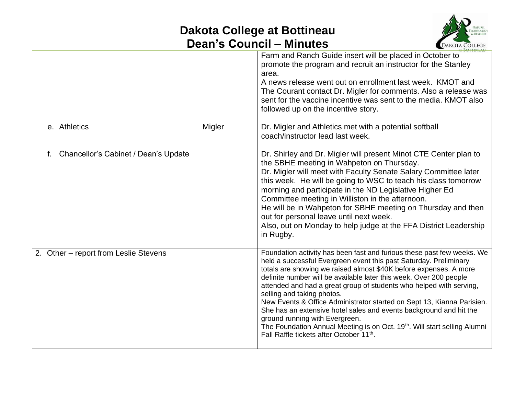## **Dakota College at Bottineau Dean's Council – Minutes**



|                                            |        | <b>AT BOTTINEAU</b>                                                                                                                                                                                                                                                                                                                                                                                                                                                                                                                                                                                                                                                                                                            |
|--------------------------------------------|--------|--------------------------------------------------------------------------------------------------------------------------------------------------------------------------------------------------------------------------------------------------------------------------------------------------------------------------------------------------------------------------------------------------------------------------------------------------------------------------------------------------------------------------------------------------------------------------------------------------------------------------------------------------------------------------------------------------------------------------------|
|                                            |        | Farm and Ranch Guide insert will be placed in October to<br>promote the program and recruit an instructor for the Stanley<br>area.<br>A news release went out on enrollment last week. KMOT and<br>The Courant contact Dr. Migler for comments. Also a release was<br>sent for the vaccine incentive was sent to the media. KMOT also<br>followed up on the incentive story.                                                                                                                                                                                                                                                                                                                                                   |
| e. Athletics                               | Migler | Dr. Migler and Athletics met with a potential softball<br>coach/instructor lead last week.                                                                                                                                                                                                                                                                                                                                                                                                                                                                                                                                                                                                                                     |
| Chancellor's Cabinet / Dean's Update<br>f. |        | Dr. Shirley and Dr. Migler will present Minot CTE Center plan to<br>the SBHE meeting in Wahpeton on Thursday.<br>Dr. Migler will meet with Faculty Senate Salary Committee later<br>this week. He will be going to WSC to teach his class tomorrow<br>morning and participate in the ND Legislative Higher Ed<br>Committee meeting in Williston in the afternoon.<br>He will be in Wahpeton for SBHE meeting on Thursday and then<br>out for personal leave until next week.<br>Also, out on Monday to help judge at the FFA District Leadership<br>in Rugby.                                                                                                                                                                  |
| 2. Other - report from Leslie Stevens      |        | Foundation activity has been fast and furious these past few weeks. We<br>held a successful Evergreen event this past Saturday. Preliminary<br>totals are showing we raised almost \$40K before expenses. A more<br>definite number will be available later this week. Over 200 people<br>attended and had a great group of students who helped with serving,<br>selling and taking photos.<br>New Events & Office Administrator started on Sept 13, Kianna Parisien.<br>She has an extensive hotel sales and events background and hit the<br>ground running with Evergreen.<br>The Foundation Annual Meeting is on Oct. 19 <sup>th</sup> . Will start selling Alumni<br>Fall Raffle tickets after October 11 <sup>th</sup> . |